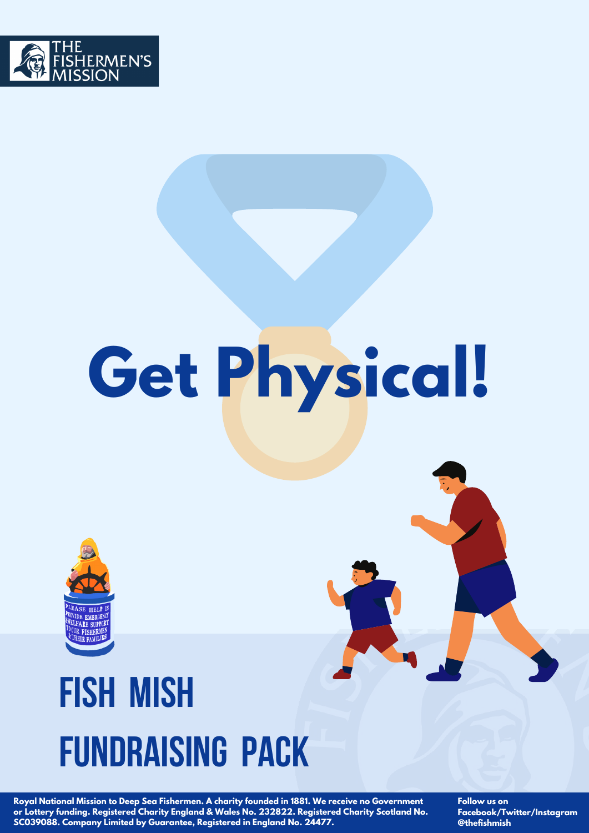

# **Get Physical!**



## **Fish Mish Fundraising Pack**

**Royal National Mission to Deep Sea Fishermen. A charity founded in 1881. We receive no Government or Lottery funding. Registered Charity England & Wales No. 232822. Registered Charity Scotland No. SC039088. Company Limited by Guarantee, Registered in England No. 24477.**

**Follow us on Facebook/Twitter/Instagram @thefishmish**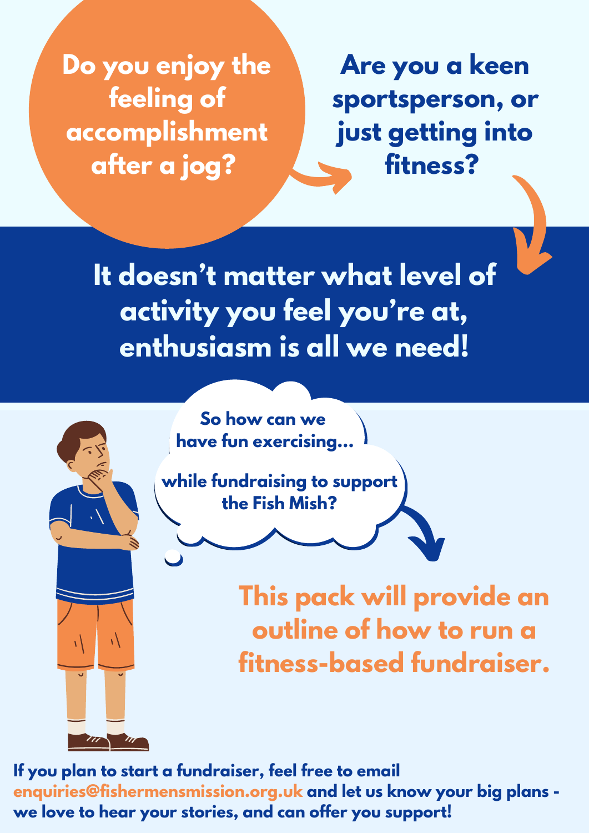**Do you enjoy the feeling of accomplishment after a jog?**

7

**Are you a keen sportsperson, or just getting into fitness?**

**It doesn't matter what level of activity you feel you're at, enthusiasm is all we need!**



**while fundraising to support the Fish Mish?**

> **This pack will provide an outline of how to run a fitness-based fundraiser.**

**If you plan to start a fundraiser, feel free to email enquiries@fishermensmission.org.uk and let us know your big plans we love to hear your stories, and can offer you support!**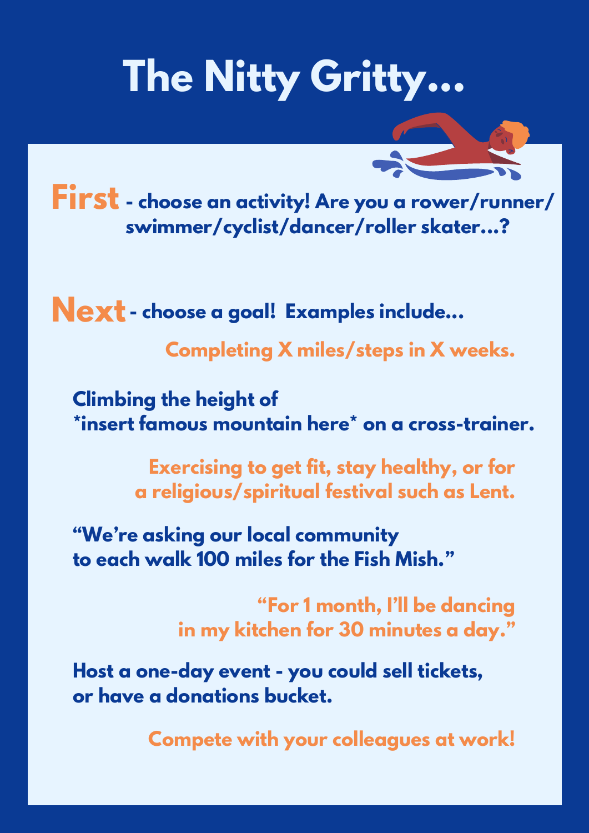## **The Nitty Gritty...**



**- choose an activity! Are you a rower/runner/ First swimmer/cyclist/dancer/roller skater...?**

**Next - choose <sup>a</sup> goal! Examples include...**

**Completing X miles/steps in X weeks.**

**Climbing the height of \*insert famous mountain here\* on a cross-trainer.**

> **Exercising to get fit, stay healthy, or for a religious/spiritual festival such as Lent.**

**"We're asking our local community to each walk 100 miles for the Fish Mish."**

> **"For 1 month, I'll be dancing in my kitchen for 30 minutes a day."**

**Host a one-day event - you could sell tickets, or have a donations bucket.**

**Compete with your colleagues at work!**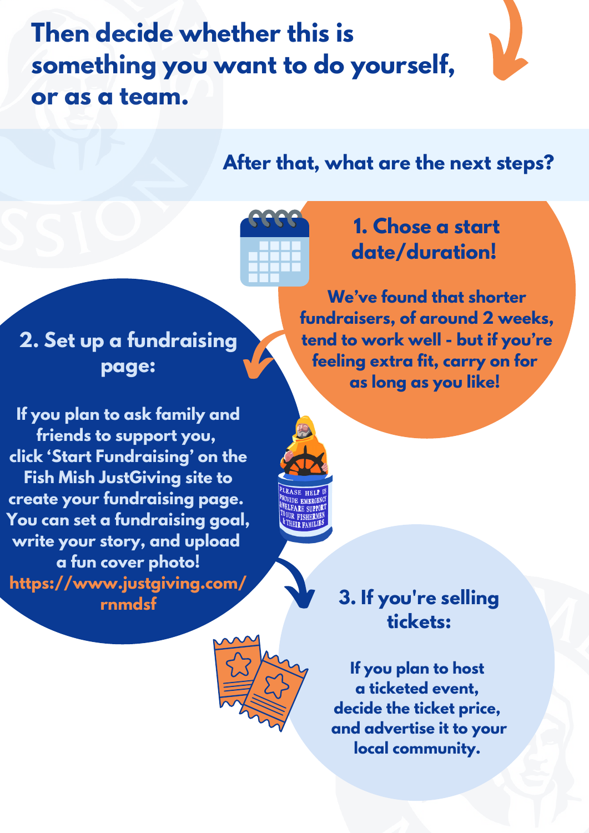**Then decide whether this is something you want to do yourself, or as a team.**

## **After that, what are the next steps?**



## **1. Chose a start date/duration!**

**We've found that shorter fundraisers, of around 2 weeks, tend to work well - but if you're feeling extra fit, carry on for as long as you like!**

**2. Set up a fundraising page:**

**If you plan to ask family and friends to support you, click 'Start Fundraising' on the Fish Mish JustGiving site to create your fundraising page. You can set a fundraising goal, write your story, and upload a fun cover photo! https://www.justgiving.com/**





**If you plan to host a ticketed event, decide the ticket price, and advertise it to your local community.**